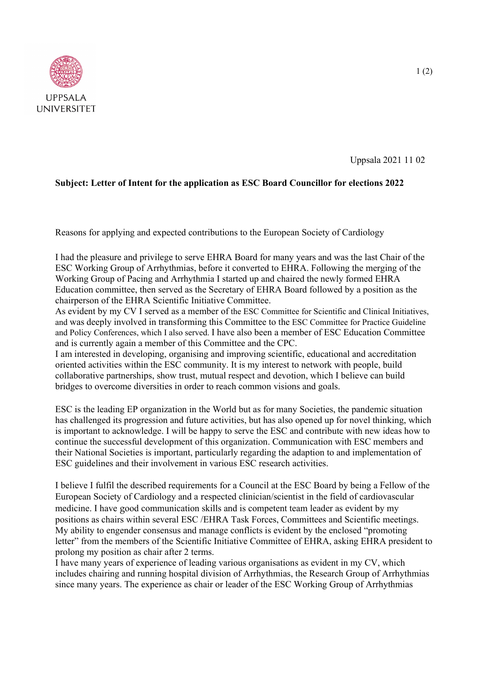

Uppsala 2021 11 02

## **Subject: Letter of Intent for the application as ESC Board Councillor for elections 2022**

Reasons for applying and expected contributions to the European Society of Cardiology

I had the pleasure and privilege to serve EHRA Board for many years and was the last Chair of the ESC Working Group of Arrhythmias, before it converted to EHRA. Following the merging of the Working Group of Pacing and Arrhythmia I started up and chaired the newly formed EHRA Education committee, then served as the Secretary of EHRA Board followed by a position as the chairperson of the EHRA Scientific Initiative Committee.

As evident by my CV I served as a member of the ESC Committee for Scientific and Clinical Initiatives, and was deeply involved in transforming this Committee to the ESC Committee for Practice Guideline and Policy Conferences, which I also served. I have also been a member of ESC Education Committee and is currently again a member of this Committee and the CPC.

I am interested in developing, organising and improving scientific, educational and accreditation oriented activities within the ESC community. It is my interest to network with people, build collaborative partnerships, show trust, mutual respect and devotion, which I believe can build bridges to overcome diversities in order to reach common visions and goals.

ESC is the leading EP organization in the World but as for many Societies, the pandemic situation has challenged its progression and future activities, but has also opened up for novel thinking, which is important to acknowledge. I will be happy to serve the ESC and contribute with new ideas how to continue the successful development of this organization. Communication with ESC members and their National Societies is important, particularly regarding the adaption to and implementation of ESC guidelines and their involvement in various ESC research activities.

I believe I fulfil the described requirements for a Council at the ESC Board by being a Fellow of the European Society of Cardiology and a respected clinician/scientist in the field of cardiovascular medicine. I have good communication skills and is competent team leader as evident by my positions as chairs within several ESC /EHRA Task Forces, Committees and Scientific meetings. My ability to engender consensus and manage conflicts is evident by the enclosed "promoting letter" from the members of the Scientific Initiative Committee of EHRA, asking EHRA president to prolong my position as chair after 2 terms.

I have many years of experience of leading various organisations as evident in my CV, which includes chairing and running hospital division of Arrhythmias, the Research Group of Arrhythmias since many years. The experience as chair or leader of the ESC Working Group of Arrhythmias